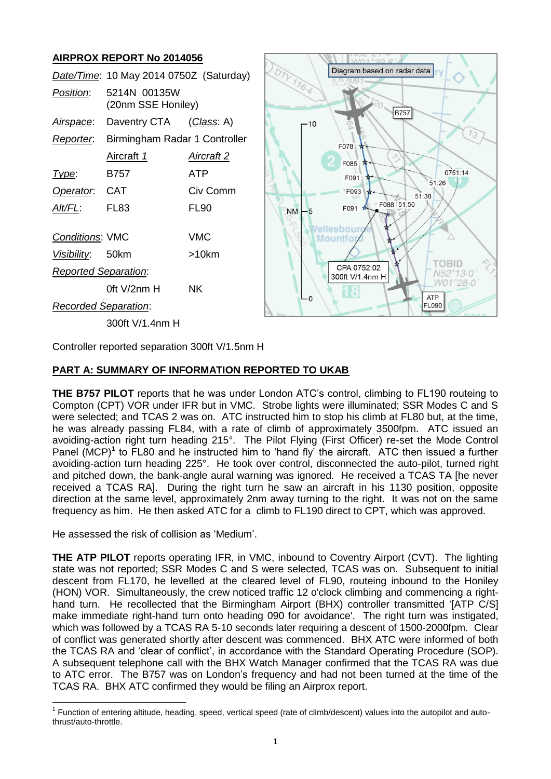# **AIRPROX REPORT No 2014056**

|                                                                      | <b>AINI NUA NEI UNI INU ZUI 7000</b>    |                                     |           |                                                                              |
|----------------------------------------------------------------------|-----------------------------------------|-------------------------------------|-----------|------------------------------------------------------------------------------|
|                                                                      | Date/Time: 10 May 2014 0750Z (Saturday) |                                     | DTY 116.4 | Diagram based on radar data                                                  |
| Position:                                                            | 5214N 00135W<br>(20nm SSE Honiley)      |                                     |           | <b>B757</b>                                                                  |
| Airspace:                                                            | Daventry CTA                            | <u>(Class</u> : A)                  | -10       |                                                                              |
| Reporter.                                                            | Birmingham Radar 1 Controller           |                                     |           | 73<br>F078                                                                   |
|                                                                      | Aircraft 1                              | <b>Aircraft 2</b>                   |           | F085                                                                         |
| Type:                                                                | B757                                    | <b>ATP</b>                          |           | 0751:14<br>F091                                                              |
| Operator.                                                            | <b>CAT</b>                              | Civ Comm                            |           | 51:26<br>F093<br>51:38                                                       |
| Alt/FL:                                                              | FL <sub>83</sub>                        | <b>FL90</b>                         | <b>NM</b> | F088 51:50<br>F091                                                           |
| <b>Conditions: VMC</b><br>Visibility:<br><b>Reported Separation:</b> | 50km<br>Oft V/2nm H                     | <b>VMC</b><br>$>10$ km<br><b>NK</b> |           | ellesbour<br><b>Mountfo</b><br><b>OBID</b><br>CPA 0752:02<br>300ft V/1.4nm H |
| <b>Recorded Separation:</b>                                          |                                         |                                     | 0 —ا      | <b>ATP</b><br><b>FL090</b>                                                   |
|                                                                      | 300ft V/1.4nm H                         |                                     |           |                                                                              |

Controller reported separation 300ft V/1.5nm H

## **PART A: SUMMARY OF INFORMATION REPORTED TO UKAB**

**THE B757 PILOT** reports that he was under London ATC's control, climbing to FL190 routeing to Compton (CPT) VOR under IFR but in VMC. Strobe lights were illuminated; SSR Modes C and S were selected; and TCAS 2 was on. ATC instructed him to stop his climb at FL80 but, at the time, he was already passing FL84, with a rate of climb of approximately 3500fpm. ATC issued an avoiding-action right turn heading 215°. The Pilot Flying (First Officer) re-set the Mode Control Panel  $(MCP)^1$  to  $FLS0$  and he instructed him to 'hand fly' the aircraft. ATC then issued a further avoiding-action turn heading 225°. He took over control, disconnected the auto-pilot, turned right and pitched down, the bank-angle aural warning was ignored. He received a TCAS TA [he never received a TCAS RA]. During the right turn he saw an aircraft in his 1130 position, opposite direction at the same level, approximately 2nm away turning to the right. It was not on the same frequency as him. He then asked ATC for a climb to FL190 direct to CPT, which was approved.

He assessed the risk of collision as 'Medium'.

**THE ATP PILOT** reports operating IFR, in VMC, inbound to Coventry Airport (CVT). The lighting state was not reported; SSR Modes C and S were selected, TCAS was on. Subsequent to initial descent from FL170, he levelled at the cleared level of FL90, routeing inbound to the Honiley (HON) VOR. Simultaneously, the crew noticed traffic 12 o'clock climbing and commencing a righthand turn. He recollected that the Birmingham Airport (BHX) controller transmitted 'IATP C/S1 make immediate right-hand turn onto heading 090 for avoidance'. The right turn was instigated, which was followed by a TCAS RA 5-10 seconds later requiring a descent of 1500-2000fpm. Clear of conflict was generated shortly after descent was commenced. BHX ATC were informed of both the TCAS RA and 'clear of conflict', in accordance with the Standard Operating Procedure (SOP). A subsequent telephone call with the BHX Watch Manager confirmed that the TCAS RA was due to ATC error. The B757 was on London's frequency and had not been turned at the time of the TCAS RA. BHX ATC confirmed they would be filing an Airprox report.

**<sup>.</sup>** 1 Function of entering altitude, heading, speed, vertical speed (rate of climb/descent) values into the autopilot and autothrust/auto-throttle.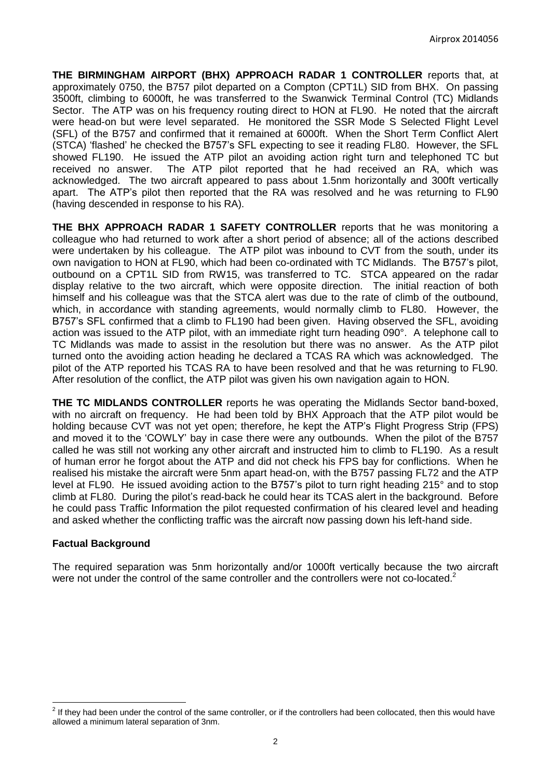**THE BIRMINGHAM AIRPORT (BHX) APPROACH RADAR 1 CONTROLLER** reports that, at approximately 0750, the B757 pilot departed on a Compton (CPT1L) SID from BHX. On passing 3500ft, climbing to 6000ft, he was transferred to the Swanwick Terminal Control (TC) Midlands Sector. The ATP was on his frequency routing direct to HON at FL90. He noted that the aircraft were head-on but were level separated. He monitored the SSR Mode S Selected Flight Level (SFL) of the B757 and confirmed that it remained at 6000ft. When the Short Term Conflict Alert (STCA) 'flashed' he checked the B757's SFL expecting to see it reading FL80. However, the SFL showed FL190. He issued the ATP pilot an avoiding action right turn and telephoned TC but received no answer. The ATP pilot reported that he had received an RA, which was acknowledged. The two aircraft appeared to pass about 1.5nm horizontally and 300ft vertically apart. The ATP's pilot then reported that the RA was resolved and he was returning to FL90 (having descended in response to his RA).

**THE BHX APPROACH RADAR 1 SAFETY CONTROLLER** reports that he was monitoring a colleague who had returned to work after a short period of absence; all of the actions described were undertaken by his colleague. The ATP pilot was inbound to CVT from the south, under its own navigation to HON at FL90, which had been co-ordinated with TC Midlands. The B757's pilot, outbound on a CPT1L SID from RW15, was transferred to TC. STCA appeared on the radar display relative to the two aircraft, which were opposite direction. The initial reaction of both himself and his colleague was that the STCA alert was due to the rate of climb of the outbound, which, in accordance with standing agreements, would normally climb to FL80. However, the B757's SFL confirmed that a climb to FL190 had been given. Having observed the SFL, avoiding action was issued to the ATP pilot, with an immediate right turn heading 090°. A telephone call to TC Midlands was made to assist in the resolution but there was no answer. As the ATP pilot turned onto the avoiding action heading he declared a TCAS RA which was acknowledged. The pilot of the ATP reported his TCAS RA to have been resolved and that he was returning to FL90. After resolution of the conflict, the ATP pilot was given his own navigation again to HON.

**THE TC MIDLANDS CONTROLLER** reports he was operating the Midlands Sector band-boxed, with no aircraft on frequency. He had been told by BHX Approach that the ATP pilot would be holding because CVT was not yet open; therefore, he kept the ATP's Flight Progress Strip (FPS) and moved it to the 'COWLY' bay in case there were any outbounds. When the pilot of the B757 called he was still not working any other aircraft and instructed him to climb to FL190. As a result of human error he forgot about the ATP and did not check his FPS bay for conflictions. When he realised his mistake the aircraft were 5nm apart head-on, with the B757 passing FL72 and the ATP level at FL90. He issued avoiding action to the B757's pilot to turn right heading 215° and to stop climb at FL80. During the pilot's read-back he could hear its TCAS alert in the background. Before he could pass Traffic Information the pilot requested confirmation of his cleared level and heading and asked whether the conflicting traffic was the aircraft now passing down his left-hand side.

### **Factual Background**

**.** 

The required separation was 5nm horizontally and/or 1000ft vertically because the two aircraft were not under the control of the same controller and the controllers were not co-located.<sup>2</sup>

 $2$  If they had been under the control of the same controller, or if the controllers had been collocated, then this would have allowed a minimum lateral separation of 3nm.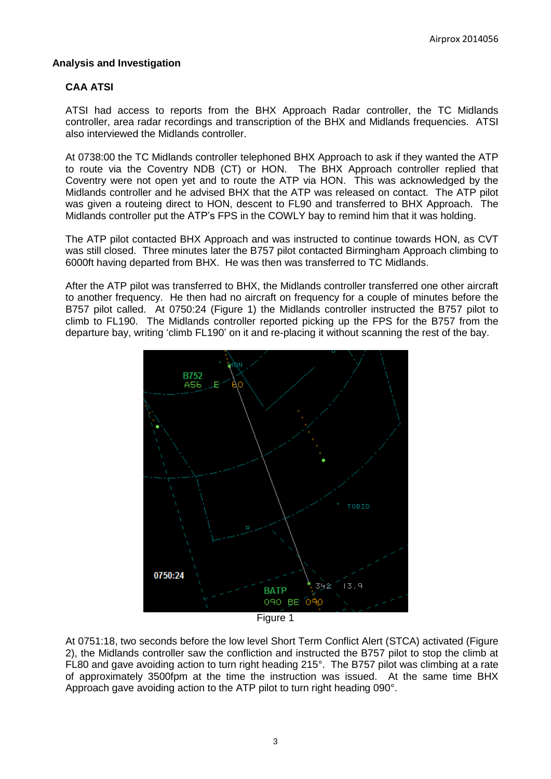#### **Analysis and Investigation**

### **CAA ATSI**

ATSI had access to reports from the BHX Approach Radar controller, the TC Midlands controller, area radar recordings and transcription of the BHX and Midlands frequencies. ATSI also interviewed the Midlands controller.

At 0738:00 the TC Midlands controller telephoned BHX Approach to ask if they wanted the ATP to route via the Coventry NDB (CT) or HON. The BHX Approach controller replied that Coventry were not open yet and to route the ATP via HON. This was acknowledged by the Midlands controller and he advised BHX that the ATP was released on contact. The ATP pilot was given a routeing direct to HON, descent to FL90 and transferred to BHX Approach. The Midlands controller put the ATP's FPS in the COWLY bay to remind him that it was holding.

The ATP pilot contacted BHX Approach and was instructed to continue towards HON, as CVT was still closed. Three minutes later the B757 pilot contacted Birmingham Approach climbing to 6000ft having departed from BHX. He was then was transferred to TC Midlands.

After the ATP pilot was transferred to BHX, the Midlands controller transferred one other aircraft to another frequency. He then had no aircraft on frequency for a couple of minutes before the B757 pilot called. At 0750:24 (Figure 1) the Midlands controller instructed the B757 pilot to climb to FL190. The Midlands controller reported picking up the FPS for the B757 from the departure bay, writing 'climb FL190' on it and re-placing it without scanning the rest of the bay.



Figure 1

At 0751:18, two seconds before the low level Short Term Conflict Alert (STCA) activated (Figure 2), the Midlands controller saw the confliction and instructed the B757 pilot to stop the climb at FL80 and gave avoiding action to turn right heading 215°. The B757 pilot was climbing at a rate of approximately 3500fpm at the time the instruction was issued. At the same time BHX Approach gave avoiding action to the ATP pilot to turn right heading 090°.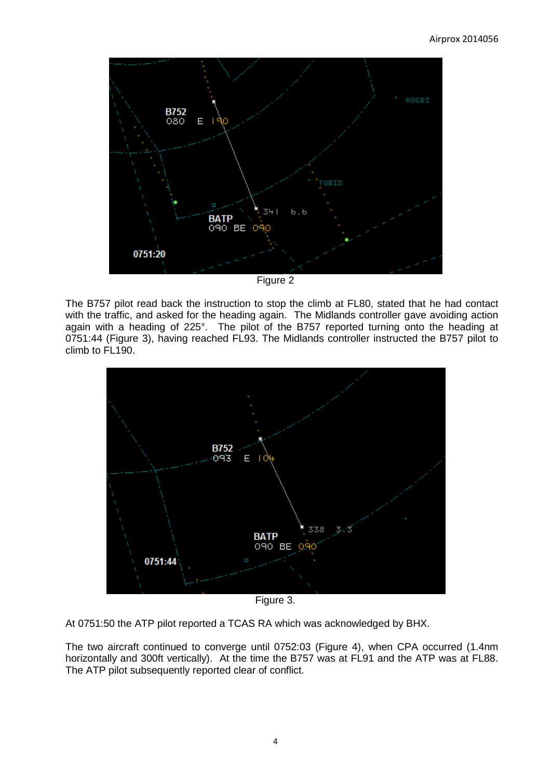

Figure 2

The B757 pilot read back the instruction to stop the climb at FL80, stated that he had contact with the traffic, and asked for the heading again. The Midlands controller gave avoiding action again with a heading of 225°. The pilot of the B757 reported turning onto the heading at 0751:44 (Figure 3), having reached FL93. The Midlands controller instructed the B757 pilot to climb to FL190.



Figure 3.

At 0751:50 the ATP pilot reported a TCAS RA which was acknowledged by BHX.

The two aircraft continued to converge until 0752:03 (Figure 4), when CPA occurred (1.4nm horizontally and 300ft vertically). At the time the B757 was at FL91 and the ATP was at FL88. The ATP pilot subsequently reported clear of conflict.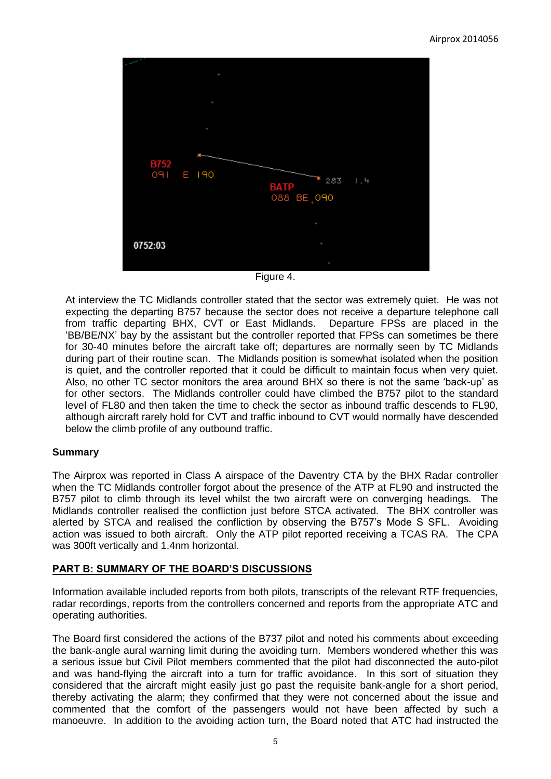

Figure 4.

At interview the TC Midlands controller stated that the sector was extremely quiet. He was not expecting the departing B757 because the sector does not receive a departure telephone call from traffic departing BHX, CVT or East Midlands. Departure FPSs are placed in the 'BB/BE/NX' bay by the assistant but the controller reported that FPSs can sometimes be there for 30-40 minutes before the aircraft take off; departures are normally seen by TC Midlands during part of their routine scan. The Midlands position is somewhat isolated when the position is quiet, and the controller reported that it could be difficult to maintain focus when very quiet. Also, no other TC sector monitors the area around BHX so there is not the same 'back-up' as for other sectors. The Midlands controller could have climbed the B757 pilot to the standard level of FL80 and then taken the time to check the sector as inbound traffic descends to FL90, although aircraft rarely hold for CVT and traffic inbound to CVT would normally have descended below the climb profile of any outbound traffic.

### **Summary**

The Airprox was reported in Class A airspace of the Daventry CTA by the BHX Radar controller when the TC Midlands controller forgot about the presence of the ATP at FL90 and instructed the B757 pilot to climb through its level whilst the two aircraft were on converging headings. The Midlands controller realised the confliction just before STCA activated. The BHX controller was alerted by STCA and realised the confliction by observing the B757's Mode S SFL. Avoiding action was issued to both aircraft. Only the ATP pilot reported receiving a TCAS RA. The CPA was 300ft vertically and 1.4nm horizontal.

## **PART B: SUMMARY OF THE BOARD'S DISCUSSIONS**

Information available included reports from both pilots, transcripts of the relevant RTF frequencies, radar recordings, reports from the controllers concerned and reports from the appropriate ATC and operating authorities.

The Board first considered the actions of the B737 pilot and noted his comments about exceeding the bank-angle aural warning limit during the avoiding turn. Members wondered whether this was a serious issue but Civil Pilot members commented that the pilot had disconnected the auto-pilot and was hand-flying the aircraft into a turn for traffic avoidance. In this sort of situation they considered that the aircraft might easily just go past the requisite bank-angle for a short period, thereby activating the alarm; they confirmed that they were not concerned about the issue and commented that the comfort of the passengers would not have been affected by such a manoeuvre. In addition to the avoiding action turn, the Board noted that ATC had instructed the